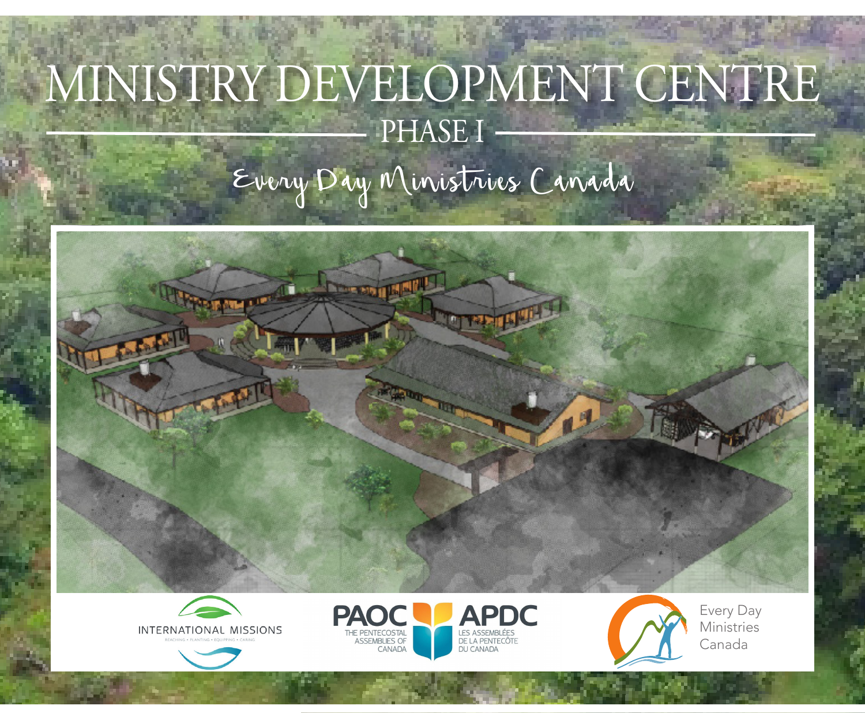# MINISTRY DEVELOPMENT CENTRE PHASE I

Every Day Ministries Canada